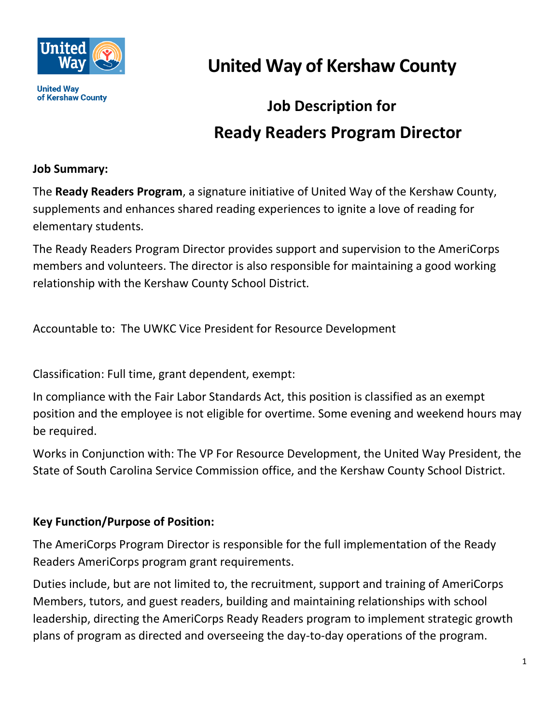

**United Way** of Kershaw County **United Way of Kershaw County**

# **Job Description for Ready Readers Program Director**

### **Job Summary:**

The **Ready Readers Program**, a signature initiative of United Way of the Kershaw County, supplements and enhances shared reading experiences to ignite a love of reading for elementary students.

The Ready Readers Program Director provides support and supervision to the AmeriCorps members and volunteers. The director is also responsible for maintaining a good working relationship with the Kershaw County School District.

Accountable to: The UWKC Vice President for Resource Development

Classification: Full time, grant dependent, exempt:

In compliance with the Fair Labor Standards Act, this position is classified as an exempt position and the employee is not eligible for overtime. Some evening and weekend hours may be required.

Works in Conjunction with: The VP For Resource Development, the United Way President, the State of South Carolina Service Commission office, and the Kershaw County School District.

#### **Key Function/Purpose of Position:**

The AmeriCorps Program Director is responsible for the full implementation of the Ready Readers AmeriCorps program grant requirements.

Duties include, but are not limited to, the recruitment, support and training of AmeriCorps Members, tutors, and guest readers, building and maintaining relationships with school leadership, directing the AmeriCorps Ready Readers program to implement strategic growth plans of program as directed and overseeing the day-to-day operations of the program.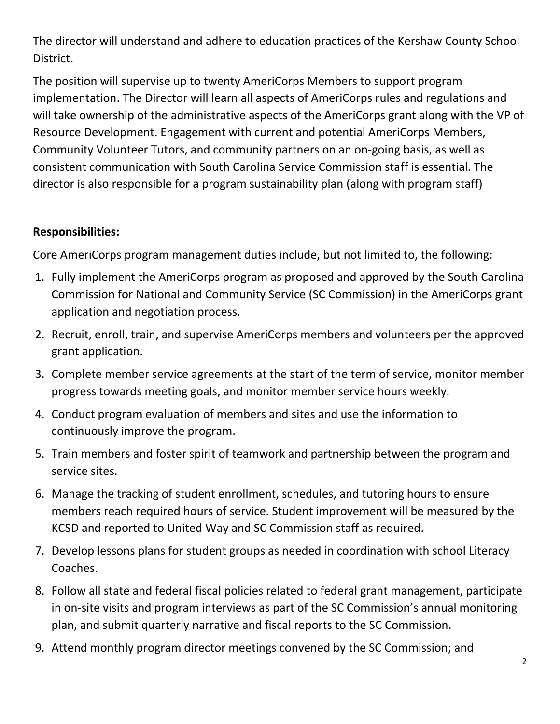The director will understand and adhere to education practices of the Kershaw County School District.

The position will supervise up to twenty AmeriCorps Members to support program implementation. The Director will learn all aspects of AmeriCorps rules and regulations and will take ownership of the administrative aspects of the AmeriCorps grant along with the VP of Resource Development. Engagement with current and potential AmeriCorps Members, Community Volunteer Tutors, and community partners on an on-going basis, as well as consistent communication with South Carolina Service Commission staff is essential. The director is also responsible for a program sustainability plan (along with program staff)

## **Responsibilities:**

Core AmeriCorps program management duties include, but not limited to, the following:

- 1. Fully implement the AmeriCorps program as proposed and approved by the South Carolina Commission for National and Community Service (SC Commission) in the AmeriCorps grant application and negotiation process.
- 2. Recruit, enroll, train, and supervise AmeriCorps members and volunteers per the approved grant application.
- 3. Complete member service agreements at the start of the term of service, monitor member progress towards meeting goals, and monitor member service hours weekly.
- 4. Conduct program evaluation of members and sites and use the information to continuously improve the program.
- 5. Train members and foster spirit of teamwork and partnership between the program and service sites.
- 6. Manage the tracking of student enrollment, schedules, and tutoring hours to ensure members reach required hours of service. Student improvement will be measured by the KCSD and reported to United Way and SC Commission staff as required.
- 7. Develop lessons plans for student groups as needed in coordination with school Literacy Coaches.
- 8. Follow all state and federal fiscal policies related to federal grant management, participate in on-site visits and program interviews as part of the SC Commission's annual monitoring plan, and submit quarterly narrative and fiscal reports to the SC Commission.
- 9. Attend monthly program director meetings convened by the SC Commission; and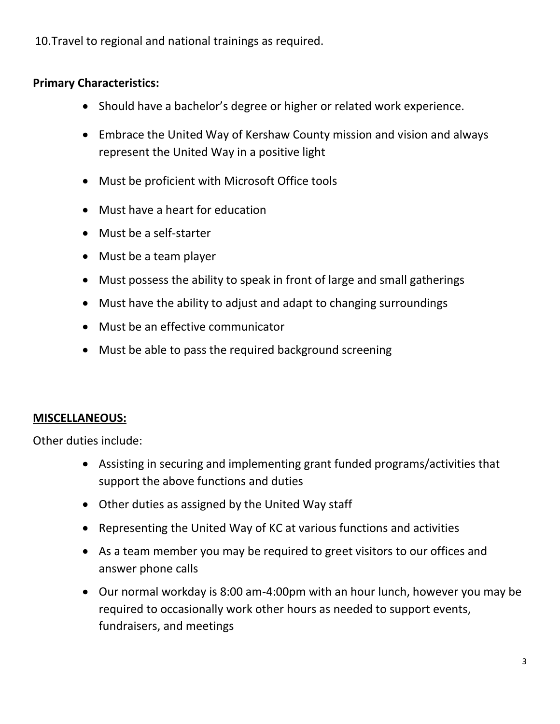10.Travel to regional and national trainings as required.

# **Primary Characteristics:**

- Should have a bachelor's degree or higher or related work experience.
- Embrace the United Way of Kershaw County mission and vision and always represent the United Way in a positive light
- Must be proficient with Microsoft Office tools
- Must have a heart for education
- Must be a self-starter
- Must be a team player
- Must possess the ability to speak in front of large and small gatherings
- Must have the ability to adjust and adapt to changing surroundings
- Must be an effective communicator
- Must be able to pass the required background screening

# **MISCELLANEOUS:**

Other duties include:

- Assisting in securing and implementing grant funded programs/activities that support the above functions and duties
- Other duties as assigned by the United Way staff
- Representing the United Way of KC at various functions and activities
- As a team member you may be required to greet visitors to our offices and answer phone calls
- Our normal workday is 8:00 am-4:00pm with an hour lunch, however you may be required to occasionally work other hours as needed to support events, fundraisers, and meetings